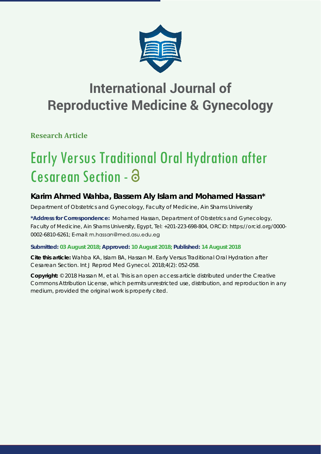

# **International Journal of Reproductive Medicine & Gynecology**

**Research Article**

# Early Versus Traditional Oral Hydration after Cesarean Section - a

# **Karim Ahmed Wahba, Bassem Aly Islam and Mohamed Hassan\***

*Department of Obstetrics and Gynecology, Faculty of Medicine, Ain Shams University*

**\*Address for Correspondence:** Mohamed Hassan, Department of Obstetrics and Gynecology, Faculty of Medicine, Ain Shams University, Egypt, Tel: +201-223-698-804, ORCiD: https://orcid.org/0000- 0002-6810-6261; E-mail: m.hassan@med.asu.edu.eg

# **Submitted: 03 August 2018; Approved: 10 August 2018; Published: 14 August 2018**

**Cite this article:** Wahba KA, Islam BA, Hassan M. Early Versus Traditional Oral Hydration after Cesarean Section. Int J Reprod Med Gynecol. 2018;4(2): 052-058.

**Copyright:** © 2018 Hassan M, et al. This is an open access article distributed under the Creative Commons Attribution License, which permits unrestricted use, distribution, and reproduction in any medium, provided the original work is properly cited.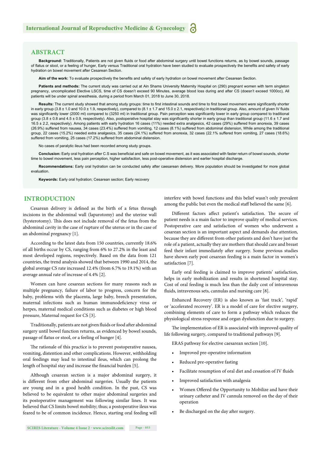## **ABSTRACT**

Background: Traditionally, Patients are not given fluids or food after abdominal surgery until bowel functions returns, as by bowel sounds, passage of flatus or stool, or a feeling of hunger, Early versus Traditional oral hydration have been studied to evaluate prospectively the benefits and safety of early hydration on bowel movement after Cesarean Section.

Aim of the work: To evaluate prospectively the benefits and safety of early hydration on bowel movement after Cesarean Section.

Patients and methods: The current study was carried out at Ain Shams University Maternity Hospital on (290) pregnant women with term singleton pregnancy, uncomplicated Elective LSCS, time of CS doesn't exceed 90 Minutes, average blood loss during and after CS (doesn't exceed 1000cc), All patients will be under spinal anesthesia, during a period from March 01, 2018 to June 30, 2018.

Results: The current study showed that among study groups: time to first intestinal sounds and time to first bowel movement were significantly shorter in early group (3.8 ± 1.0 and 10.0 ± 1.9, respectively), compared to (8.1 ± 1.7 and 15.0 ± 2.1, respectively) in traditional group. Also, amount of given IV fluids was significantly lower (2000 ml) compared to (3250 ml) in traditional group. Pain perception was significantly lower in early group compared to traditional group (3.8  $\pm$  0.8 and 4.5  $\pm$  0.9, respectively). Also, postoperative hospital stay was significantly shorter in early group than traditional group (11.6  $\pm$  1.7 and 16.5 ± 2.2, respectively). Among patients with early hydration 16 cases (11%) needed extra analgesics, 42 cases (29%) suffered from anorexia, 39 cases (26.9%) suffered from nausea, 34 cases (23.4%) suffered from vomiting, 12 cases (8.1%) suffered from abdominal distension, While among the traditional group, 22 cases (15.2%) needed extra analgesics, 35 cases (24.1%) suffered from anorexia, 32 cases (22.1% suffered from vomiting, 27 cases (18.6%) suffered from vomiting, 25 cases (17.2%) suffered from abdominal distension.

No cases of paralytic ileus had been recorded among study groups.

Conclusion: Early oral hydration after C.S was beneficial and safe on bowel movement, as it was associated with faster return of bowel sounds, shorter time to bowel movement, less pain perception, higher satisfaction, less post-operative distension and earlier hospital discharge.

**Recommendations:** Early oral hydration can be conducted safely after caesarean delivery. More population should be investigated for more global evaluation.

**Keywords:** Early oral hydration; Cesarean section; Early recovery

## **INTRODUCTION**

Cesarean delivery is defined as the birth of a fetus through incisions in the abdominal wall (laparotomy) and the uterine wall (hysterotomy). This does not include removal of the fetus from the abdominal cavity in the case of rupture of the uterus or in the case of an abdominal pregnancy [1].

According to the latest data from 150 countries, currently 18.6% of all births occur by CS, ranging from 6% to 27.2% in the least and most developed regions, respectively. Based on the data from 121 countries, the trend analysis showed that between 1990 and 2014, the global average CS rate increased 12.4% (from 6.7% to 19.1%) with an average annual rate of increase of 4.4% [2].

Women can have cesarean sections for many reasons such as multiple pregnancy, failure of labor to progress, concern for the baby, problems with the placenta, large baby, breech presentation, maternal infections such as human immunodeficiency virus or herpes, maternal medical conditions such as diabetes or high blood pressure, Maternal request for CS [3].

Traditionally, patients are not given fluids or food after abdominal surgery until bowel function returns, as evidenced by bowel sounds, passage of flatus or stool, or a feeling of hunger [4].

The rationale of this practice is to prevent postoperative nausea, vomiting, distention and other complications. However, withholding oral feedings may lead to intestinal ileus, which can prolong the length of hospital stay and increase the financial burden [5].

Although cesarean section is a major abdominal surgery, it is different from other abdominal surgeries. Usually the patients are young and in a good health condition. In the past, CS was believed to be equivalent to other major abdominal surgeries and its postoperative management was following similar lines. It was believed that CS limits bowel mobility; thus; a postoperative ileus was feared to be of common incidence. Hence, starting oral feeding will interfere with bowel functions and this belief wasn't only prevalent among the public but even the medical staff believed the same [6].

Different factors affect patient's satisfaction. The secure of patient needs is a main factor to improve quality of medical services. Postoperative care and satisfaction of women who underwent a cesarean section is an important aspect and demands due attention, because they are different from other patients and don't have just the role of a patient, actually they are mothers that should care and breast feed their infant immediately after surgery. Some previous studies have shown early post cesarean feeding is a main factor in women's satisfaction [7].

Early oral feeding is claimed to improve patients' satisfaction, helps in early mobilization and results in shortened hospital stay. Cost of oral feeding is much less than the daily cost of intravenous fluids, intravenous sets, cannulas and nursing care  $[8]$ .

Enhanced Recovery (ER) is also known as 'fast track', 'rapid' or 'accelerated recovery'. ER is a model of care for elective surgery, combining elements of care to form a pathway which reduces the physiological stress response and organ dysfunction due to surgery.

The implementation of ER is associated with improved quality of life following surgery, compared to traditional pathways [9].

ERAS pathway for elective caesarean section [10].

- Improved pre-operative information
- Reduced pre-operative fasting
- Facilitate resumption of oral diet and cessation of IV fluids
- Improved satisfaction with analgesia
- Women Offered the Opportunity to Mobilize and have their urinary catheter and IV cannula removed on the day of their operation
- Be discharged on the day after surgery.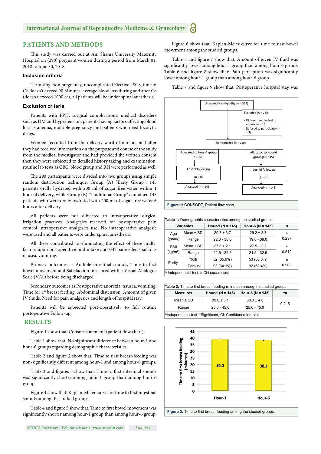# **International Journal of Reproductive Medicine & Gynecology**

# **PATIENTS AND METHODS**

This study was carried out at Ain Shams University Maternity Hospital on (290) pregnant women during a period from March 01, 2018 to June 30, 2018.

#### **Inclusion criteria**

Term singleton pregnancy, uncomplicated Elective LSCS, time of CS doesn't exceed 90 Minutes, average blood loss during and after CS (doesn't exceed 1000 cc), all patients will be under spinal anesthesia.

#### **Exclusion criteria**

Patients with PPH, surgical complications, medical disorders such as DM and hypertension, patients having factors affecting blood loss as anemia, multiple pregnancy and patients who need tocolytic drugs.

Women recruited from the delivery ward of our hospital after they had received information on the purpose and course of the study from the medical investigator and had provided the written consent then they were subjected to detailed history taking and examination, routine lab tests as CBC, blood group and RH were performed as well.

The 290 participants were divided into two groups using simple random distribution technique, Group (A) "Early Group": 145 patients orally hydrated with 200 ml of sugar free water within 1 hour of delivery, while Group (B) "Traditional Group" contained 145 patients who were orally hydrated with 200 ml of sugar free water 6 hours after delivery.

All patients were not subjected to intraoperative surgical irrigation practices. Analgesics reserved for postoperative pain control intraoperative analgesics use, No intraoperative analgesic were used and all patients were under spinal anesthesia.

All these contributed to eliminating the effect of these multifactors upon postoperative oral intake and GIT side effects such as nausea, vomiting.

Primary outcomes as Audible intestinal sounds, Time to first bowel movement and Satisfaction measured with a Visual Analogue Scale (VAS) before being discharged.

Secondary outcomes as Postoperative anorexia, nausea, vomiting, Time for 1<sup>st</sup> breast feeding, Abdominal distension, Amount of given IV fluids, Need for pain analgesics and length of hospital stay.

Patients will be subjected post-operatively to full routine postoperative Follow-up.

#### **RESULTS**

Figure 1 show that: Consort statement (patient flow chart).

Table 1 show that: No significant difference between hour-1 and hour-6 groups regarding demographic characteristics.

Table 2 and figure 2 show that: Time to first breast-feeding was non-significantly different among hour-1 and among hour-6 groups.

Table 3 and figures 3 show that: Time to first intestinal sounds was significantly shorter among hour-1 group than among hour-6 group.

Figure 4 show that: Kaplan-Meier curve for time to first intestinal sounds among the studied groups.

Table 4 and figure 5 show that: Time to first bowel movement was significantly shorter among hour-1 group than among hour-6 group.

Figure 6 show that: Kaplan-Meier curve for time to first bowel movement among the studied groups.

Table 5 and figure 7 show that: Amount of given IV fluid was significantly lower among hour-1 group than among hour-6 group. Table 6 and figure 8 show that: Pain perception was significantly lower among hour-1 group than among hour-6 group.

Table 7 and figure 9 show that: Postoperative hospital stay was



| Table 1: Demographic characteristics among the studied groups. |               |                                              |                |       |
|----------------------------------------------------------------|---------------|----------------------------------------------|----------------|-------|
| Variables                                                      |               | Hour-6 ( $N = 145$ )<br>Hour-1 ( $N = 145$ ) |                | р     |
| Age                                                            | Mean $\pm$ SD | $29.7 \pm 3.7$                               | $29.2 \pm 3.7$ | Λ     |
| (years)                                                        | Range         | $22.0 - 38.0$                                | $19.0 - 39.0$  | 0.237 |
| <b>BMI</b><br>(kg/m <sup>2</sup> )                             | Mean $\pm$ SD | $27.3 \pm 2.1$                               | $27.5 \pm 2.2$ | Λ     |
|                                                                | Range         | $22.6 - 32.5$                                | $21.5 - 32.5$  | 0.512 |
| Parity                                                         | Nulli         | 52 (35.9%)                                   | 53 (36.6%)     | #     |
|                                                                | Parous        | 93 (64.1%)                                   | 92 (63.4%)     | 0.903 |
| ^ Independent t-test, # Chi square test                        |               |                                              |                |       |

| <b>Table 2:</b> Time to first breast feeding (minutes) among the studied groups. |                                                          |                         |  |  |  |
|----------------------------------------------------------------------------------|----------------------------------------------------------|-------------------------|--|--|--|
| <b>Measures</b>                                                                  | Hour-1 ( $N = 145$ )<br>Hour-6 (N = 145)<br>$^{\wedge}p$ |                         |  |  |  |
| Mean $\pm$ SD                                                                    | $39.0 \pm 5.1$                                           | $38.3 \pm 4.8$<br>0.215 |  |  |  |
| Range                                                                            | $25.0 - 45.0$                                            | $25.0 - 45.0$           |  |  |  |
| AIndependent t-test, *Significant, CI: Confidence Interval.                      |                                                          |                         |  |  |  |



Figure 2: Time to first breast-feeding among the studied groups.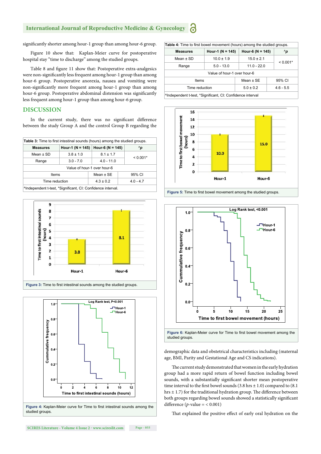# **International Journal of Reproductive Medicine & Gynecology**

significantly shorter among hour-1 group than among hour-6 group.

Figure 10 show that: Kaplan-Meier curve for postoperative hospital stay "time to discharge" among the studied groups.

Table 8 and figure 11 show that: Postoperative extra-analgesics were non-significantly less frequent among hour-1 group than among hour-6 group. Postoperative anorexia, nausea and vomiting were non-significantly more frequent among hour-1 group than among hour-6 group. Postoperative abdominal distension was significantly less frequent among hour-1 group than among hour-6 group.

# **DISCUSSION**

In the current study, there was no significant difference between the study Group A and the control Group B regarding the

| <b>Table 3:</b> Time to first intestinal sounds (hours) among the studied groups. |                                     |               |              |  |  |
|-----------------------------------------------------------------------------------|-------------------------------------|---------------|--------------|--|--|
| <b>Measures</b>                                                                   | Hour-1 (N = 145)   Hour-6 (N = 145) |               | $^{\wedge}p$ |  |  |
| Mean $\pm$ SD                                                                     | $3.8 \pm 1.0$                       | $8.1 \pm 1.7$ |              |  |  |
| Range                                                                             | $3.0 - 7.0$                         | $4.0 - 11.0$  | $< 0.001*$   |  |  |
| Value of hour-1 over hour-6                                                       |                                     |               |              |  |  |
| Items                                                                             |                                     | Mean $±$ SE   | 95% CI       |  |  |
| Time reduction                                                                    |                                     | $4.3 \pm 0.2$ | $4.0 - 4.7$  |  |  |
| ^Independent t-test, *Significant, CI: Confidence interval.                       |                                     |               |              |  |  |





| <b>Table 4:</b> Time to first bowel movement (hours) among the studied groups. |                      |                              |              |  |  |
|--------------------------------------------------------------------------------|----------------------|------------------------------|--------------|--|--|
| <b>Measures</b>                                                                | Hour-1 ( $N = 145$ ) | Hour-6 ( $N = 145$ )         | $^{\wedge}p$ |  |  |
| Mean $\pm$ SD                                                                  | $10.0 \pm 1.9$       | $15.0 \pm 2.1$               |              |  |  |
| Range                                                                          | $5.0 - 13.0$         | $11.0 - 22.0$                | $< 0.001*$   |  |  |
| Value of hour-1 over hour-6                                                    |                      |                              |              |  |  |
| <b>Items</b>                                                                   |                      | Mean $\pm$ SE                | 95% CI       |  |  |
| Time reduction                                                                 |                      | $5.0 \pm 0.2$<br>$4.6 - 5.5$ |              |  |  |
| <sup>1</sup> Independent t-test, *Significant, CI: Confidence interval         |                      |                              |              |  |  |



Figure 5: Time to first bowel movement among the studied groups.



demographic data and obstetrical characteristics including (maternal age, BMI, Parity and Gestational Age and CS indications).

The current study demonstrated that women in the early hydration group had a more rapid return of bowel function including bowel sounds, with a substantially significant shorter mean postoperative time interval to the first bowel sounds (3.8 hrs  $\pm$  1.0) compared to (8.1) hrs  $\pm$  1.7) for the traditional hydration group. The difference between both groups regarding bowel sounds showed a statistically significant difference ( $p$ -value = < 0.001)

That explained the positive effect of early oral hydration on the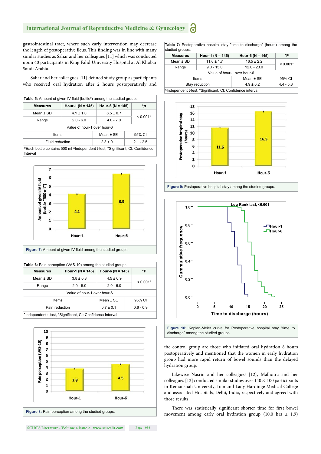#### **International Journal of Reproductive Medicine & Gynecology** ခြ

gastrointestinal tract, where such early intervention may decrease the length of postoperative ileus. This finding was in line with many similar studies as Sahar and her colleagues [11] which was conducted upon 40 participants in King Fahd University Hospital at Al Khobar Saudi Arabia.

Sahar and her colleagues [11] defined study group as participants who received oral hydration after 2 hours postoperatively and

| <b>Table 5:</b> Amount of given IV fluid (bottle <sup>#</sup> ) among the studied groups.  |                                              |               |              |  |
|--------------------------------------------------------------------------------------------|----------------------------------------------|---------------|--------------|--|
| <b>Measures</b>                                                                            | Hour-1 ( $N = 145$ )<br>Hour-6 ( $N = 145$ ) |               | $^{\wedge}p$ |  |
| Mean $\pm$ SD                                                                              | $4.1 \pm 1.0$<br>$6.5 \pm 0.7$               |               |              |  |
| Range                                                                                      | $2.0 - 6.0$                                  | $4.0 - 7.0$   | $< 0.001*$   |  |
| Value of hour-1 over hour-6                                                                |                                              |               |              |  |
| Items                                                                                      |                                              | Mean $±$ SE   | 95% CI       |  |
| Fluid reduction                                                                            |                                              | $2.3 \pm 0.1$ | $2.1 - 2.5$  |  |
| #Each bottle contains 500 ml ^Independent t-test, *Significant, CI: Confidence<br>Interval |                                              |               |              |  |



| <b>Table 6:</b> Pain perception (VAS-10) among the studied groups.     |                                              |               |             |  |  |
|------------------------------------------------------------------------|----------------------------------------------|---------------|-------------|--|--|
| <b>Measures</b>                                                        | Hour-6 ( $N = 145$ )<br>Hour-1 ( $N = 145$ ) |               | ۸P          |  |  |
| Mean $\pm$ SD                                                          | $3.8 \pm 0.8$                                | $4.5 \pm 0.9$ | $< 0.001*$  |  |  |
| Range                                                                  | $2.0 - 5.0$                                  | $2.0 - 6.0$   |             |  |  |
|                                                                        | Value of hour-1 over hour-6                  |               |             |  |  |
| Items                                                                  |                                              | Mean $\pm$ SE | 95% CI      |  |  |
| Pain reduction                                                         |                                              | $0.7 \pm 0.1$ | $0.6 - 0.9$ |  |  |
| <sup>A</sup> Independent t-test, *Significant, CI: Confidence Interval |                                              |               |             |  |  |



**SCIRES Literature - Volume 4 Issue 2 - www.scireslit.com Page - 056**

**Table 7:** Postoperative hospital stay "time to discharge" (hours) among the studied groups.

| ----- <i>-</i> - - - - - -                                             |                      |                      |             |  |  |
|------------------------------------------------------------------------|----------------------|----------------------|-------------|--|--|
| <b>Measures</b>                                                        | Hour-1 ( $N = 145$ ) | Hour-6 ( $N = 145$ ) | ۸P          |  |  |
| Mean $\pm$ SD                                                          | $11.6 \pm 1.7$       | $16.5 \pm 2.2$       |             |  |  |
| Range                                                                  | $9.0 - 15.0$         | $12.0 - 23.0$        | $< 0.001*$  |  |  |
| Value of hour-1 over hour-6                                            |                      |                      |             |  |  |
| Mean $±$ SE<br>95% CI<br>Items                                         |                      |                      |             |  |  |
|                                                                        | Stay reduction       | $4.9 \pm 0.2$        | $4.4 - 5.3$ |  |  |
| <sup>A</sup> Independent t-test, *Significant, CI: Confidence interval |                      |                      |             |  |  |







discharge" among the studied groups.

the control group are those who initiated oral hydration 8 hours postoperatively and mentioned that the women in early hydration group had more rapid return of bowel sounds than the delayed hydration group.

Likewise Nasrin and her colleagues [12], Malhotra and her colleagues [13] conducted similar studies over 140 & 100 participants in Kemanshah University, Iran and Lady Hardinge Medical College and associated Hospitals, Delhi, India, respectively and agreed with those results.

There was statistically significant shorter time for first bowel movement among early oral hydration group (10.0 hrs ± 1.9)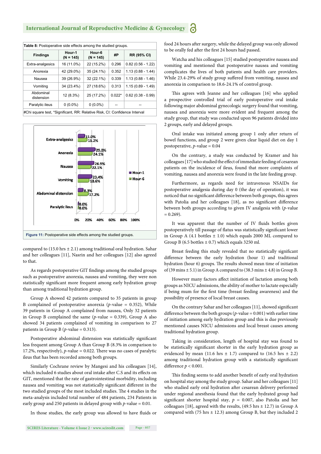| <b>Table 8:</b> Postoperative side effects among the studied groups.       |                       |                       |          |                     |
|----------------------------------------------------------------------------|-----------------------|-----------------------|----------|---------------------|
| <b>Findings</b>                                                            | Hour-1<br>$(N = 145)$ | Hour-6<br>$(N = 145)$ | #P       | RR (95% CI)         |
| Extra-analgesics                                                           | 16 (11.0%)            | 22 (15.2%)            | 0.296    | $0.82(0.56 - 1.22)$ |
| Anorexia                                                                   | 42 (29.0%)            | 35 (24.1%)            | 0.352    | $1.13(0.88 - 1.44)$ |
| Nausea                                                                     | 39 (26.9%)            | 32 (22.1%)            | 0.339    | $1.13(0.88 - 1.46)$ |
| Vomiting                                                                   | 34 (23.4%)            | 27 (18.6%)            | 0.313    | $1.15(0.89 - 1.49)$ |
| Abdominal<br>distension                                                    | 12 (8.3%)             | 25 (17.2%)            | $0.022*$ | $0.62(0.38 - 0.99)$ |
| Paralytic ileus                                                            | $0(0.0\%)$            | $0(0.0\%)$            |          |                     |
| #Chi square test, *Significant, RR: Relative Risk, CI: Confidence Interval |                       |                       |          |                     |



compared to  $(15.0 \text{ hrs} \pm 2.1)$  among traditional oral hydration. Sahar and her colleagues [11], Nasrin and her colleagues [12] also agreed to that.

As regards postoperative GIT findings among the studied groups such as postoperative anorexia, nausea and vomiting, they were non statistically significant more frequent among early hydration group than among traditional hydration group.

Group A showed 42 patients compared to 35 patients in group B complained of postoperative anorexia (*p*-value = 0.352), While 39 patients in Group A complained from nausea, Only 32 patients in Group B complained the same  $(p$ -value = 0.339), Group A also showed 34 patients complained of vomiting in comparison to 27 patients in Group B ( $p$ -value = 0.313).

Postoperative abdominal distension was statistically significant less frequent among Group A than Group B (8.3% in comparison to 17.2%, respectively),  $p$ -value = 0.022. There was no cases of paralytic ileus that has been recorded among both groups.

Similarly Cochrane review by Mangesi and his colleagues [14], which included 6 studies about oral intake after C.S and its effects on GIT, mentioned that the rate of gastrointestinal morbidity, including nausea and vomiting was not statistically significant different in the two studied groups of the most included studies. The 4 studies in the meta-analysis included total number of 484 patients, 234 Patients in early group and 250 patients in delayed group with  $p$ -value = 0.01.

In those studies, the early group was allowed to have fluids or

food 24 hours after surgery, while the delayed group was only allowed to be orally fed after the first 24 hours had passed.

Watcha and his colleagues [15] studied postoperative nausea and vomiting and mentioned that postoperative nausea and vomiting complicates the lives of both patients and health care providers. While 23.4-29% of study group suffered from vomiting, nausea and anorexia in comparison to 18.6-24.1% of control group.

This agrees with Jeanne and her colleagues [16] who applied a prospective controlled trial of early postoperative oral intake following major abdominal gynecologic surgery found that vomiting, nausea and anorexia were more evident and frequent among the study group, that study was conducted upon 96 patients divided into 2 groups, early and delayed groups.

Oral intake was initiated among group 1 only after return of bowel functions, and group 2 were given clear liquid diet on day 1 postoperative, *p*-value = 0.04

On the contrary, a study was conducted by Kramer and his colleagues [17] who studied the effect of immediate feeding of cesarean patients on the incidence of ileus, found that more complaints of vomiting, nausea and anorexia were found in the late feeding group.

Furthermore, as regards need for intravenous NSAIDs for postoperative analgesia during day 0 (the day of operation), it was noticed that no significant difference between both groups, this agrees with Patolia and her colleagues [18], as no significant difference between both groups according to given IV analgesia with (*p*-value  $= 0.269$ ).

It was apparent that the number of IV fluids bottles given postoperatively till passage of flatus was statistically significant lower in Group A (4.1 bottles  $\pm$  1.0) which equals 2000 ML compared to Group B (6.5 bottles  $\pm$  0.7) which equals 3250 ml.

Breast feeding this study revealed that no statistically significant difference between the early hydration (hour 1) and traditional hydration (hour 6) groups. The results showed mean time of initiation of (39 mins  $\pm$  5.1) in Group A compared to (38.3 mins  $\pm$  4.8) in Group B.

However many factors affect initiation of lactation among both groups as NICU admissions, the ability of mother to lactate especially if being mum for the first time (breast feeding awareness) and the possibility of presence of local breast causes.

On the contrary Sahar and her colleagues [11], showed significant difference between the both groups ( $p$ -value = 0.001) with earlier time of initiation among early hydration group and this is due previously mentioned causes NICU admissions and local breast causes among traditional hydration group.

Taking in consideration, length of hospital stay was found to be statistically significant shorter in the early hydration group as evidenced by mean (11.6 hrs  $\pm$  1.7) compared to (16.5 hrs  $\pm$  2.2) among traditional hydration group with a statistically significant difference  $p < 0.001$ .

This finding seems to add another benefit of early oral hydration on hospital stay among the study group. Sahar and her colleagues [11] who studied early oral hydration after cesarean delivery performed under regional anesthesia found that the early hydrated group had significant shorter hospital stay,  $p = 0.007$ , also Patolia and her colleagues [18], agreed with the results,  $(49.5 \text{ hrs} \pm 12.7)$  in Group A compared with (75 hrs  $\pm$  12.3) among Group B, but they included 2